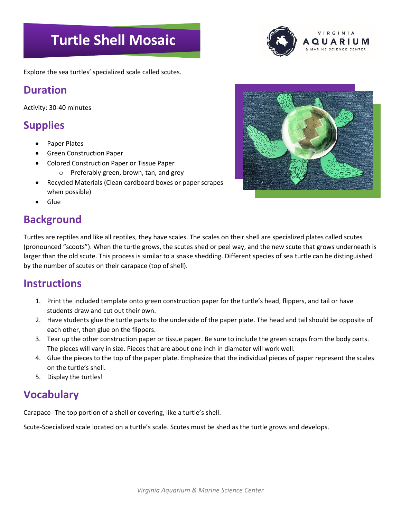# **Turtle Shell Mosaic**

VIRGINIA QUARIL

Explore the sea turtles' specialized scale called scutes.

#### **Duration**

Activity: 30-40 minutes

#### **Supplies**

- Paper Plates
- Green Construction Paper
- Colored Construction Paper or Tissue Paper
	- o Preferably green, brown, tan, and grey
- Recycled Materials (Clean cardboard boxes or paper scrapes when possible)
- Glue

### **Background**

Turtles are reptiles and like all reptiles, they have scales. The scales on their shell are specialized plates called scutes (pronounced "scoots"). When the turtle grows, the scutes shed or peel way, and the new scute that grows underneath is larger than the old scute. This process is similar to a snake shedding. Different species of sea turtle can be distinguished by the number of scutes on their carapace (top of shell).

#### **Instructions**

- 1. Print the included template onto green construction paper for the turtle's head, flippers, and tail or have students draw and cut out their own.
- 2. Have students glue the turtle parts to the underside of the paper plate. The head and tail should be opposite of each other, then glue on the flippers.
- 3. Tear up the other construction paper or tissue paper. Be sure to include the green scraps from the body parts. The pieces will vary in size. Pieces that are about one inch in diameter will work well.
- 4. Glue the pieces to the top of the paper plate. Emphasize that the individual pieces of paper represent the scales on the turtle's shell.
- 5. Display the turtles!

#### **Vocabulary**

Carapace- The top portion of a shell or covering, like a turtle's shell.

Scute-Specialized scale located on a turtle's scale. Scutes must be shed as the turtle grows and develops.

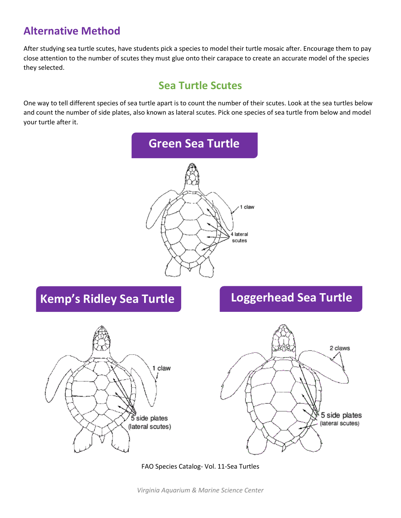#### **Alternative Method**

After studying sea turtle scutes, have students pick a species to model their turtle mosaic after. Encourage them to pay close attention to the number of scutes they must glue onto their carapace to create an accurate model of the species they selected.

#### **Sea Turtle Scutes**

One way to tell different species of sea turtle apart is to count the number of their scutes. Look at the sea turtles below and count the number of side plates, also known as lateral scutes. Pick one species of sea turtle from below and model your turtle after it.



## **Kemp's Ridley Sea Turtle Loggerhead Sea Turtle**





FAO Species Catalog- Vol. 11-Sea Turtles

*Virginia Aquarium & Marine Science Center*